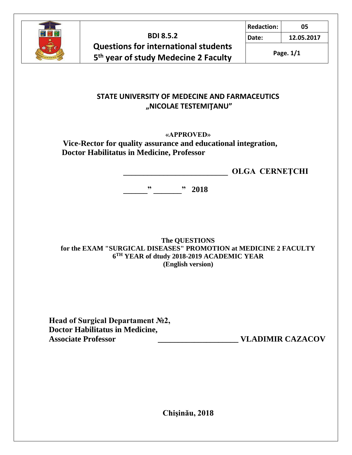

**Redaction: 05**

**Date: 12.05.2017**

**Page. 1/1**

#### **STATE UNIVERSITY OF MEDECINE AND FARMACEUTICS "NICOLAE TESTEMIŢANU"**

#### **«APPROVED»**

 **Vice-Rector for quality assurance and educational integration, Doctor Habilitatus in Medicine, Professor**

 **\_\_\_\_\_\_\_\_\_\_\_\_\_\_\_\_\_\_\_\_\_\_\_\_\_\_ OLGA CERNEŢCHI**

 **\_\_\_\_\_\_" \_\_\_\_\_\_\_" 2018**

**The QUESTIONS for the EXAM "SURGICAL DISEASES" PROMOTION at MEDICINE 2 FACULTY 6 TH YEAR of dtudy 2018-2019 ACADEMIC YEAR (English version)**

**Head of Surgical Departament №2, Doctor Habilitatus in Medicine,**  Associate Professor **and VLADIMIR CAZACOV** 

**Chişinău, 2018**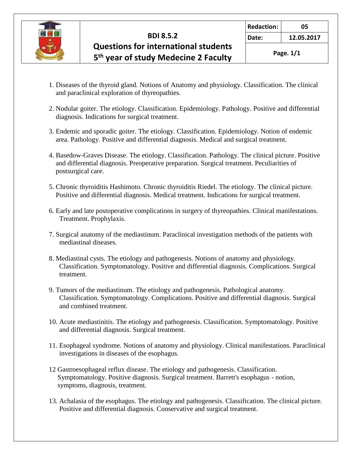

**Date: 12.05.2017**

**Page. 1/1**

- 1. Diseases of the thyroid gland. Notions of Anatomy and physiology. Classification. The clinical and paraclinical exploration of thyreopathies.
- 2. Nodular goiter. The etiology. Classification. Epidemiology. Pathology. Positive and differential diagnosis. Indications for surgical treatment.
- 3. Endemic and sporadic goiter. The etiology. Classification. Epidemiology. Notion of endemic area. Pathology. Positive and differential diagnosis. Medical and surgical treatment.
- 4. Basedow-Graves Disease. The etiology. Classification. Pathology. The clinical picture. Positive and differential diagnosis. Preoperative preparation. Surgical treatment. Peculiarities of postsurgical care.
- 5. Chronic thyroiditis Hashimoto. Chronic thyroiditis Riedel. The etiology. The clinical picture. Positive and differential diagnosis. Medical treatment. Indications for surgical treatment.
- 6. Early and late postoperative complications in surgery of thyreopathies. Clinical manifestations. Treatment. Prophylaxis.
- 7. Surgical anatomy of the mediastinum. Paraclinical investigation methods of the patients with mediastinal diseases.
- 8. Mediastinal cysts. The etiology and pathogenesis. Notions of anatomy and physiology. Classification. Symptomatology. Positive and differential diagnosis. Complications. Surgical treatment.
- 9. Tumors of the mediastinum. The etiology and pathogenesis. Pathological anatomy. Classification. Symptomatology. Complications. Positive and differential diagnosis. Surgical and combined treatment.
- 10. Acute mediastinitis. The etiology and pathogenesis. Classification. Symptomatology. Positive and differential diagnosis. Surgical treatment.
- 11. Esophageal syndrome. Notions of anatomy and physiology. Clinical manifestations. Paraclinical investigations in diseases of the esophagus.
- 12 Gastroesophageal reflux disease. The etiology and pathogenesis. Classification. Symptomatology. Positive diagnosis. Surgical treatment. Barrett's esophagus - notion, symptoms, diagnosis, treatment.
- 13. Achalasia of the esophagus. The etiology and pathogenesis. Classification. The clinical picture. Positive and differential diagnosis. Conservative and surgical treatment.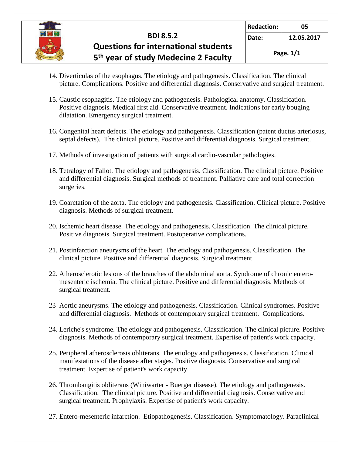

**Date: 12.05.2017**

- 14. Diverticulas of the esophagus. The etiology and pathogenesis. Classification. The clinical picture. Complications. Positive and differential diagnosis. Conservative and surgical treatment.
- 15. Caustic esophagitis. The etiology and pathogenesis. Pathological anatomy. Classification. Positive diagnosis. Medical first aid. Conservative treatment. Indications for early bouging dilatation. Emergency surgical treatment.
- 16. Congenital heart defects. The etiology and pathogenesis. Classification (patent ductus arteriosus, septal defects). The clinical picture. Positive and differential diagnosis. Surgical treatment.
- 17. Methods of investigation of patients with surgical cardio-vascular pathologies.
- 18. Tetralogy of Fallot. The etiology and pathogenesis. Classification. The clinical picture. Positive and differential diagnosis. Surgical methods of treatment. Palliative care and total correction surgeries.
- 19. Coarctation of the aorta. The etiology and pathogenesis. Classification. Clinical picture. Positive diagnosis. Methods of surgical treatment.
- 20. Ischemic heart disease. The etiology and pathogenesis. Classification. The clinical picture. Positive diagnosis. Surgical treatment. Postoperative complications.
- 21. Postinfarction aneurysms of the heart. The etiology and pathogenesis. Classification. The clinical picture. Positive and differential diagnosis. Surgical treatment.
- 22. Atherosclerotic lesions of the branches of the abdominal aorta. Syndrome of chronic entero mesenteric ischemia. The clinical picture. Positive and differential diagnosis. Methods of surgical treatment.
- 23 Aortic aneurysms. The etiology and pathogenesis. Classification. Clinical syndromes. Positive and differential diagnosis. Methods of contemporary surgical treatment. Complications.
- 24. Leriche's syndrome. The etiology and pathogenesis. Classification. The clinical picture. Positive diagnosis. Methods of contemporary surgical treatment. Expertise of patient's work capacity.
- 25. Peripheral atherosclerosis obliterans. The etiology and pathogenesis. Classification. Clinical manifestations of the disease after stages. Positive diagnosis. Conservative and surgical treatment. Expertise of patient's work capacity.
- 26. Thrombangitis obliterans (Winiwarter Buerger disease). The etiology and pathogenesis. Classification. The clinical picture. Positive and differential diagnosis. Conservative and surgical treatment. Prophylaxis. Expertise of patient's work capacity.
- 27. Entero-mesenteric infarction. Etiopathogenesis. Classification. Symptomatology. Paraclinical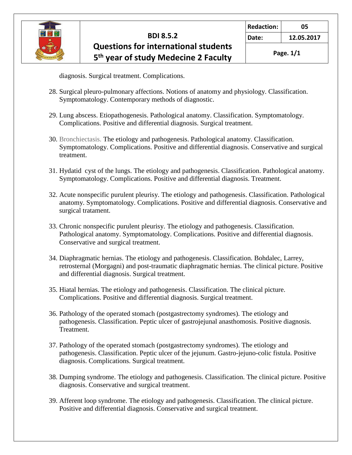

**Redaction: 05**

**Date: 12.05.2017**

**Page. 1/1**

diagnosis. Surgical treatment. Complications.

- 28. Surgical pleuro-pulmonary affections. Notions of anatomy and physiology. Classification. Symptomatology. Contemporary methods of diagnostic.
- 29. Lung abscess. Etiopathogenesis. Pathological anatomy. Classification. Symptomatology. Complications. Positive and differential diagnosis. Surgical treatment.
- 30. Bronchiectasis. The etiology and pathogenesis. Pathological anatomy. Classification. Symptomatology. Complications. Positive and differential diagnosis. Conservative and surgical treatment.
- 31. Hydatid cyst of the lungs. The etiology and pathogenesis. Classification. Pathological anatomy. Symptomatology. Complications. Positive and differential diagnosis. Treatment.
- 32. Acute nonspecific purulent pleurisy. The etiology and pathogenesis. Classification. Pathological anatomy. Symptomatology. Complications. Positive and differential diagnosis. Conservative and surgical tratament.
- 33. Chronic nonspecific purulent pleurisy. The etiology and pathogenesis. Classification. Pathological anatomy. Symptomatology. Complications. Positive and differential diagnosis. Conservative and surgical treatment.
- 34. Diaphragmatic hernias. The etiology and pathogenesis. Classification. Bohdalec, Larrey, retrosternal (Morgagni) and post-traumatic diaphragmatic hernias. The clinical picture. Positive and differential diagnosis. Surgical treatment.
- 35. Hiatal hernias. The etiology and pathogenesis. Classification. The clinical picture. Complications. Positive and differential diagnosis. Surgical treatment.
- 36. Pathology of the operated stomach (postgastrectomy syndromes). The etiology and pathogenesis. Classification. Peptic ulcer of gastrojejunal anasthomosis. Positive diagnosis. Treatment.
- 37. Pathology of the operated stomach (postgastrectomy syndromes). The etiology and pathogenesis. Classification. Peptic ulcer of the jejunum. Gastro-jejuno-colic fistula. Positive diagnosis. Complications. Surgical treatment.
- 38. Dumping syndrome. The etiology and pathogenesis. Classification. The clinical picture. Positive diagnosis. Conservative and surgical treatment.
- 39. Afferent loop syndrome. The etiology and pathogenesis. Classification. The clinical picture. Positive and differential diagnosis. Conservative and surgical treatment.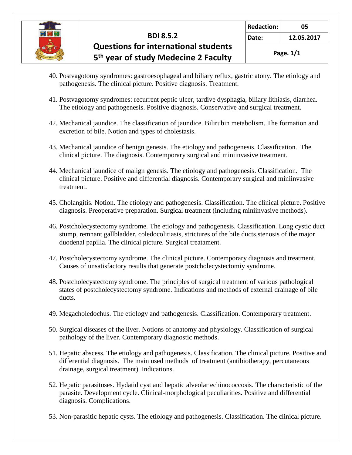

- 40. Postvagotomy syndromes: gastroesophageal and biliary reflux, gastric atony. The etiology and pathogenesis. The clinical picture. Positive diagnosis. Treatment.
- 41. Postvagotomy syndromes: recurrent peptic ulcer, tardive dysphagia, biliary lithiasis, diarrhea. The etiology and pathogenesis. Positive diagnosis. Conservative and surgical treatment.
- 42. Mechanical jaundice. The classification of jaundice. Bilirubin metabolism. The formation and excretion of bile. Notion and types of cholestasis.
- 43. Mechanical jaundice of benign genesis. The etiology and pathogenesis. Classification. The clinical picture. The diagnosis. Contemporary surgical and miniinvasive treatment.
- 44. Mechanical jaundice of malign genesis. The etiology and pathogenesis. Classification. The clinical picture. Positive and differential diagnosis. Contemporary surgical and miniinvasive treatment.
- 45. Cholangitis. Notion. The etiology and pathogenesis. Classification. The clinical picture. Positive diagnosis. Preoperative preparation. Surgical treatment (including miniinvasive methods).
- 46. Postcholecystectomy syndrome. The etiology and pathogenesis. Classification. Long cystic duct stump, remnant gallbladder, coledocolitiasis, strictures of the bile ducts,stenosis of the major duodenal papilla. The clinical picture. Surgical treatament.
- 47. Postcholecystectomy syndrome. The clinical picture. Contemporary diagnosis and treatment. Causes of unsatisfactory results that generate postcholecystectomiy syndrome.
- 48. Postcholecystectomy syndrome. The principles of surgical treatment of various pathological states of postcholecystectomy syndrome. Indications and methods of external drainage of bile ducts.
- 49. Megacholedochus. The etiology and pathogenesis. Classification. Contemporary treatment.
- 50. Surgical diseases of the liver. Notions of anatomy and physiology. Classification of surgical pathology of the liver. Contemporary diagnostic methods.
- 51. Hepatic abscess. The etiology and pathogenesis. Classification. The clinical picture. Positive and differential diagnosis. The main used methods of treatment (antibiotherapy, percutaneous drainage, surgical treatment). Indications.
- 52. Hepatic parasitoses. Hydatid cyst and hepatic alveolar echinococcosis. The characteristic of the parasite. Development cycle. Clinical-morphological peculiarities. Positive and differential diagnosis. Complications.
- 53. Non-parasitic hepatic cysts. The etiology and pathogenesis. Classification. The clinical picture.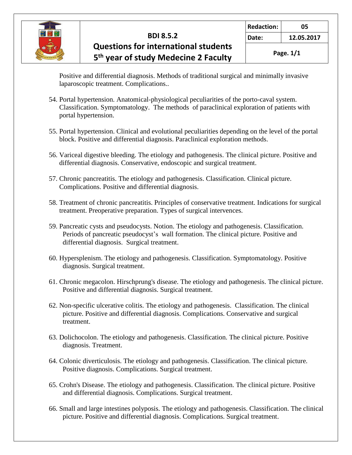

 Positive and differential diagnosis. Methods of traditional surgical and minimally invasive laparoscopic treatment. Complications..

- 54. Portal hypertension. Anatomical-physiological peculiarities of the porto-caval system. Classification. Symptomatology. The methods of paraclinical exploration of patients with portal hypertension.
- 55. Portal hypertension. Clinical and evolutional peculiarities depending on the level of the portal block. Positive and differential diagnosis. Paraclinical exploration methods.
- 56. Variceal digestive bleeding. The etiology and pathogenesis. The clinical picture. Positive and differential diagnosis. Conservative, endoscopic and surgical treatment.
- 57. Chronic pancreatitis. The etiology and pathogenesis. Classification. Clinical picture. Complications. Positive and differential diagnosis.
- 58. Treatment of chronic pancreatitis. Principles of conservative treatment. Indications for surgical treatment. Preoperative preparation. Types of surgical intervences.
- 59. Pancreatic cysts and pseudocysts. Notion. The etiology and pathogenesis. Classification. Periods of pancreatic pseudocyst's wall formation. The clinical picture. Positive and differential diagnosis. Surgical treatment.
- 60. Hypersplenism. The etiology and pathogenesis. Classification. Symptomatology. Positive diagnosis. Surgical treatment.
- 61. Chronic megacolon. Hirschprung's disease. The etiology and pathogenesis. The clinical picture. Positive and differential diagnosis. Surgical treatment.
- 62. Non-specific ulcerative colitis. The etiology and pathogenesis. Classification. The clinical picture. Positive and differential diagnosis. Complications. Conservative and surgical treatment.
- 63. Dolichocolon. The etiology and pathogenesis. Classification. The clinical picture. Positive diagnosis. Treatment.
- 64. Colonic diverticulosis. The etiology and pathogenesis. Classification. The clinical picture. Positive diagnosis. Complications. Surgical treatment.
- 65. Crohn's Disease. The etiology and pathogenesis. Classification. The clinical picture. Positive and differential diagnosis. Complications. Surgical treatment.
- 66. Small and large intestines polyposis. The etiology and pathogenesis. Classification. The clinical picture. Positive and differential diagnosis. Complications. Surgical treatment.